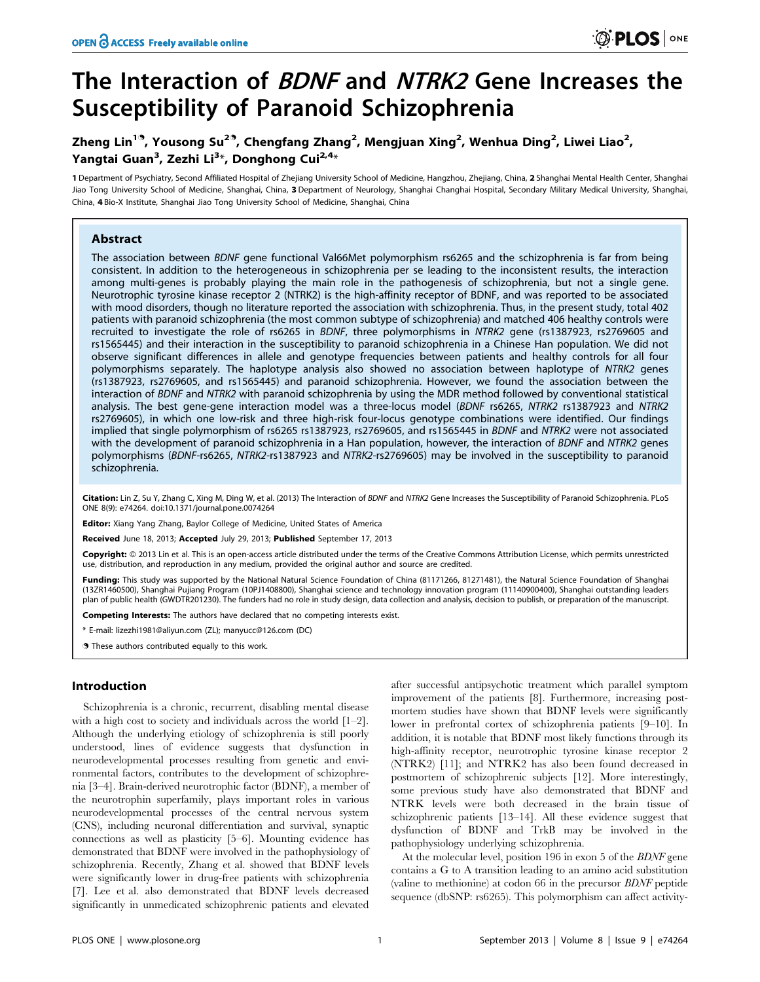# The Interaction of BDNF and NTRK2 Gene Increases the Susceptibility of Paranoid Schizophrenia

# Zheng Lin $^{19}$ , Yousong Su $^{29}$ , Chengfang Zhang $^2$ , Mengjuan Xing $^2$ , Wenhua Ding $^2$ , Liwei Liao $^2$ , Yangtai Guan<sup>3</sup>, Zezhi Li<sup>3</sup>\*, Donghong Cui<sup>2,4</sup>\*

1 Department of Psychiatry, Second Affiliated Hospital of Zhejiang University School of Medicine, Hangzhou, Zhejiang, China, 2 Shanghai Mental Health Center, Shanghai Jiao Tong University School of Medicine, Shanghai, China, 3 Department of Neurology, Shanghai Changhai Hospital, Secondary Military Medical University, Shanghai, China, 4 Bio-X Institute, Shanghai Jiao Tong University School of Medicine, Shanghai, China

# Abstract

The association between BDNF gene functional Val66Met polymorphism rs6265 and the schizophrenia is far from being consistent. In addition to the heterogeneous in schizophrenia per se leading to the inconsistent results, the interaction among multi-genes is probably playing the main role in the pathogenesis of schizophrenia, but not a single gene. Neurotrophic tyrosine kinase receptor 2 (NTRK2) is the high-affinity receptor of BDNF, and was reported to be associated with mood disorders, though no literature reported the association with schizophrenia. Thus, in the present study, total 402 patients with paranoid schizophrenia (the most common subtype of schizophrenia) and matched 406 healthy controls were recruited to investigate the role of rs6265 in BDNF, three polymorphisms in NTRK2 gene (rs1387923, rs2769605 and rs1565445) and their interaction in the susceptibility to paranoid schizophrenia in a Chinese Han population. We did not observe significant differences in allele and genotype frequencies between patients and healthy controls for all four polymorphisms separately. The haplotype analysis also showed no association between haplotype of NTRK2 genes (rs1387923, rs2769605, and rs1565445) and paranoid schizophrenia. However, we found the association between the interaction of BDNF and NTRK2 with paranoid schizophrenia by using the MDR method followed by conventional statistical analysis. The best gene-gene interaction model was a three-locus model (BDNF rs6265, NTRK2 rs1387923 and NTRK2 rs2769605), in which one low-risk and three high-risk four-locus genotype combinations were identified. Our findings implied that single polymorphism of rs6265 rs1387923, rs2769605, and rs1565445 in BDNF and NTRK2 were not associated with the development of paranoid schizophrenia in a Han population, however, the interaction of BDNF and NTRK2 genes polymorphisms (BDNF-rs6265, NTRK2-rs1387923 and NTRK2-rs2769605) may be involved in the susceptibility to paranoid schizophrenia.

Citation: Lin Z. Su Y. Zhang C. Xing M. Ding W. et al. (2013) The Interaction of BDNF and NTRK2 Gene Increases the Susceptibility of Paranoid Schizophrenia. PLoS ONE 8(9): e74264. doi:10.1371/journal.pone.0074264

Editor: Xiang Yang Zhang, Baylor College of Medicine, United States of America

Received June 18, 2013; Accepted July 29, 2013; Published September 17, 2013

Copyright: 2013 Lin et al. This is an open-access article distributed under the terms of the Creative Commons Attribution License, which permits unrestricted use, distribution, and reproduction in any medium, provided the original author and source are credited.

Funding: This study was supported by the National Natural Science Foundation of China (81171266, 81271481), the Natural Science Foundation of Shanghai (13ZR1460500), Shanghai Pujiang Program (10PJ1408800), Shanghai science and technology innovation program (11140900400), Shanghai outstanding leaders plan of public health (GWDTR201230). The funders had no role in study design, data collection and analysis, decision to publish, or preparation of the manuscript.

Competing Interests: The authors have declared that no competing interests exist.

\* E-mail: lizezhi1981@aliyun.com (ZL); manyucc@126.com (DC)

**.** These authors contributed equally to this work.

# Introduction

Schizophrenia is a chronic, recurrent, disabling mental disease with a high cost to society and individuals across the world [1–2]. Although the underlying etiology of schizophrenia is still poorly understood, lines of evidence suggests that dysfunction in neurodevelopmental processes resulting from genetic and environmental factors, contributes to the development of schizophrenia [3–4]. Brain-derived neurotrophic factor (BDNF), a member of the neurotrophin superfamily, plays important roles in various neurodevelopmental processes of the central nervous system (CNS), including neuronal differentiation and survival, synaptic connections as well as plasticity [5–6]. Mounting evidence has demonstrated that BDNF were involved in the pathophysiology of schizophrenia. Recently, Zhang et al. showed that BDNF levels were significantly lower in drug-free patients with schizophrenia [7]. Lee et al. also demonstrated that BDNF levels decreased significantly in unmedicated schizophrenic patients and elevated

after successful antipsychotic treatment which parallel symptom improvement of the patients [8]. Furthermore, increasing postmortem studies have shown that BDNF levels were significantly lower in prefrontal cortex of schizophrenia patients [9–10]. In addition, it is notable that BDNF most likely functions through its high-affinity receptor, neurotrophic tyrosine kinase receptor 2 (NTRK2) [11]; and NTRK2 has also been found decreased in postmortem of schizophrenic subjects [12]. More interestingly, some previous study have also demonstrated that BDNF and NTRK levels were both decreased in the brain tissue of schizophrenic patients [13–14]. All these evidence suggest that dysfunction of BDNF and TrkB may be involved in the pathophysiology underlying schizophrenia.

At the molecular level, position 196 in exon 5 of the *BDNF* gene contains a G to A transition leading to an amino acid substitution (valine to methionine) at codon 66 in the precursor BDNF peptide sequence (dbSNP: rs6265). This polymorphism can affect activity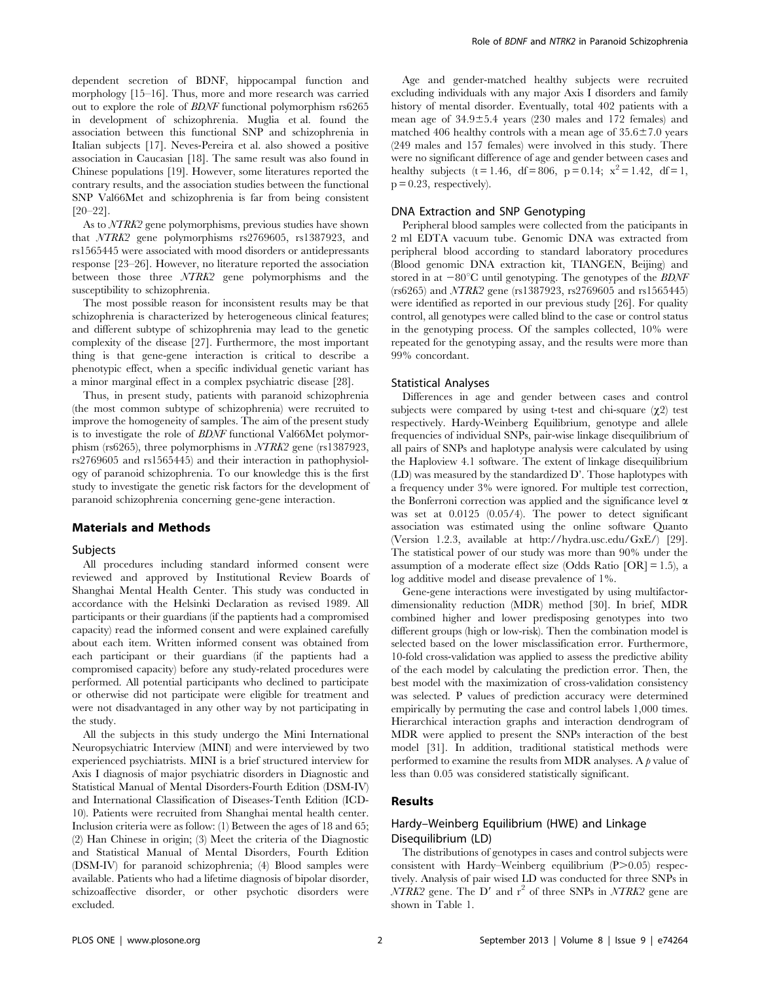dependent secretion of BDNF, hippocampal function and morphology [15–16]. Thus, more and more research was carried out to explore the role of BDNF functional polymorphism rs6265 in development of schizophrenia. Muglia et al. found the association between this functional SNP and schizophrenia in Italian subjects [17]. Neves-Pereira et al. also showed a positive association in Caucasian [18]. The same result was also found in Chinese populations [19]. However, some literatures reported the contrary results, and the association studies between the functional SNP Val66Met and schizophrenia is far from being consistent [20–22].

As to NTRK2 gene polymorphisms, previous studies have shown that NTRK2 gene polymorphisms rs2769605, rs1387923, and rs1565445 were associated with mood disorders or antidepressants response [23–26]. However, no literature reported the association between those three NTRK2 gene polymorphisms and the susceptibility to schizophrenia.

The most possible reason for inconsistent results may be that schizophrenia is characterized by heterogeneous clinical features; and different subtype of schizophrenia may lead to the genetic complexity of the disease [27]. Furthermore, the most important thing is that gene-gene interaction is critical to describe a phenotypic effect, when a specific individual genetic variant has a minor marginal effect in a complex psychiatric disease [28].

Thus, in present study, patients with paranoid schizophrenia (the most common subtype of schizophrenia) were recruited to improve the homogeneity of samples. The aim of the present study is to investigate the role of BDNF functional Val66Met polymorphism (rs6265), three polymorphisms in NTRK2 gene (rs1387923, rs2769605 and rs1565445) and their interaction in pathophysiology of paranoid schizophrenia. To our knowledge this is the first study to investigate the genetic risk factors for the development of paranoid schizophrenia concerning gene-gene interaction.

# Materials and Methods

#### Subjects

All procedures including standard informed consent were reviewed and approved by Institutional Review Boards of Shanghai Mental Health Center. This study was conducted in accordance with the Helsinki Declaration as revised 1989. All participants or their guardians (if the paptients had a compromised capacity) read the informed consent and were explained carefully about each item. Written informed consent was obtained from each participant or their guardians (if the paptients had a compromised capacity) before any study-related procedures were performed. All potential participants who declined to participate or otherwise did not participate were eligible for treatment and were not disadvantaged in any other way by not participating in the study.

All the subjects in this study undergo the Mini International Neuropsychiatric Interview (MINI) and were interviewed by two experienced psychiatrists. MINI is a brief structured interview for Axis I diagnosis of major psychiatric disorders in Diagnostic and Statistical Manual of Mental Disorders-Fourth Edition (DSM-IV) and International Classification of Diseases-Tenth Edition (ICD-10). Patients were recruited from Shanghai mental health center. Inclusion criteria were as follow: (1) Between the ages of 18 and 65; (2) Han Chinese in origin; (3) Meet the criteria of the Diagnostic and Statistical Manual of Mental Disorders, Fourth Edition (DSM-IV) for paranoid schizophrenia; (4) Blood samples were available. Patients who had a lifetime diagnosis of bipolar disorder, schizoaffective disorder, or other psychotic disorders were excluded.

Age and gender-matched healthy subjects were recruited excluding individuals with any major Axis I disorders and family history of mental disorder. Eventually, total 402 patients with a mean age of  $34.9 \pm 5.4$  years (230 males and 172 females) and matched 406 healthy controls with a mean age of  $35.6 \pm 7.0$  years (249 males and 157 females) were involved in this study. There were no significant difference of age and gender between cases and healthy subjects (t = 1.46, df = 806, p = 0.14;  $x^2 = 1.42$ , df = 1,  $p = 0.23$ , respectively).

# DNA Extraction and SNP Genotyping

Peripheral blood samples were collected from the paticipants in 2 ml EDTA vacuum tube. Genomic DNA was extracted from peripheral blood according to standard laboratory procedures (Blood genomic DNA extraction kit, TIANGEN, Beijing) and stored in at  $-80^{\circ}$ C until genotyping. The genotypes of the *BDNF* (rs6265) and NTRK2 gene (rs1387923, rs2769605 and rs1565445) were identified as reported in our previous study [26]. For quality control, all genotypes were called blind to the case or control status in the genotyping process. Of the samples collected, 10% were repeated for the genotyping assay, and the results were more than 99% concordant.

#### Statistical Analyses

Differences in age and gender between cases and control subjects were compared by using t-test and chi-square  $(\chi_2)$  test respectively. Hardy-Weinberg Equilibrium, genotype and allele frequencies of individual SNPs, pair-wise linkage disequilibrium of all pairs of SNPs and haplotype analysis were calculated by using the Haploview 4.1 software. The extent of linkage disequilibrium (LD) was measured by the standardized D'. Those haplotypes with a frequency under 3% were ignored. For multiple test correction, the Bonferroni correction was applied and the significance level  $\alpha$ was set at 0.0125 (0.05/4). The power to detect significant association was estimated using the online software Quanto (Version 1.2.3, available at http://hydra.usc.edu/GxE/) [29]. The statistical power of our study was more than 90% under the assumption of a moderate effect size (Odds Ratio  $[OR] = 1.5$ ), a log additive model and disease prevalence of 1%.

Gene-gene interactions were investigated by using multifactordimensionality reduction (MDR) method [30]. In brief, MDR combined higher and lower predisposing genotypes into two different groups (high or low-risk). Then the combination model is selected based on the lower misclassification error. Furthermore, 10-fold cross-validation was applied to assess the predictive ability of the each model by calculating the prediction error. Then, the best model with the maximization of cross-validation consistency was selected. P values of prediction accuracy were determined empirically by permuting the case and control labels 1,000 times. Hierarchical interaction graphs and interaction dendrogram of MDR were applied to present the SNPs interaction of the best model [31]. In addition, traditional statistical methods were performed to examine the results from MDR analyses. A  $\beta$  value of less than 0.05 was considered statistically significant.

## Results

# Hardy–Weinberg Equilibrium (HWE) and Linkage Disequilibrium (LD)

The distributions of genotypes in cases and control subjects were consistent with Hardy–Weinberg equilibrium  $(P>0.05)$  respectively. Analysis of pair wised LD was conducted for three SNPs in  $\overline{NTRK2}$  gene. The D' and r<sup>2</sup> of three SNPs in  $\overline{NTRK2}$  gene are shown in Table 1.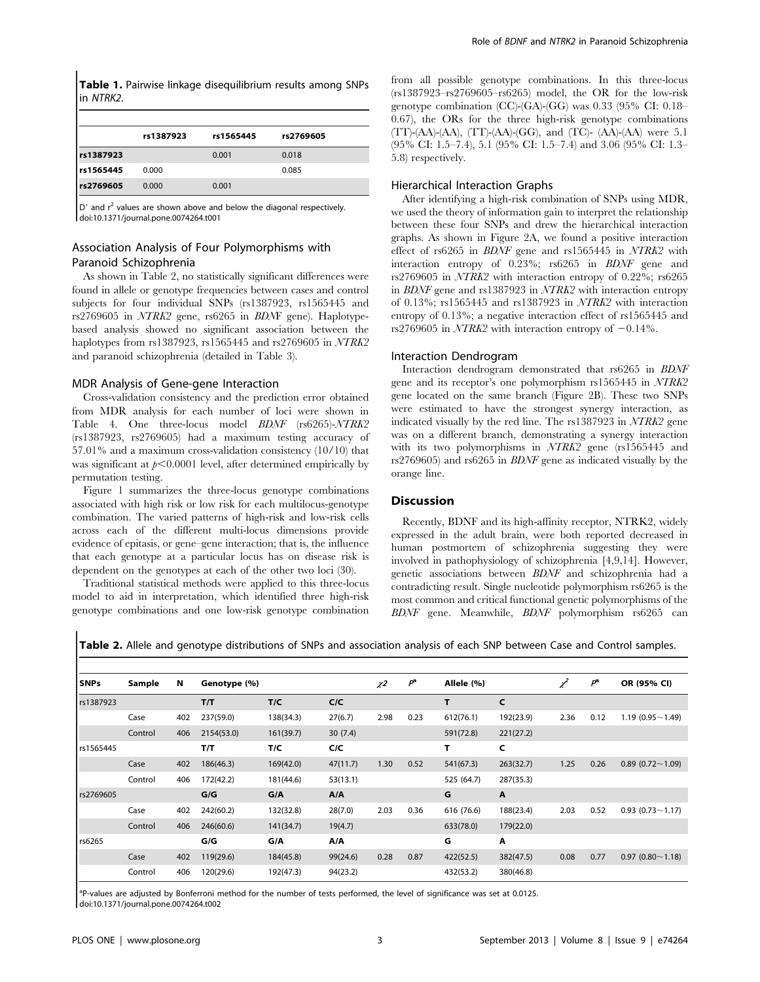Table 1. Pairwise linkage disequilibrium results among SNPs in NTRK2.

|             | rs1387923 | rs1565445 | rs2769605 |
|-------------|-----------|-----------|-----------|
| rs1387923   |           | 0.001     | 0.018     |
| l rs1565445 | 0.000     |           | 0.085     |
| rs2769605   | 0.000     | 0.001     |           |

 $|D^{\prime}|$  and  $r^2$  values are shown above and below the diagonal respectively. doi:10.1371/journal.pone.0074264.t001

# Association Analysis of Four Polymorphisms with Paranoid Schizophrenia

As shown in Table 2, no statistically significant differences were found in allele or genotype frequencies between cases and control subjects for four individual SNPs (rs1387923, rs1565445 and rs2769605 in NTRK2 gene, rs6265 in BDNF gene). Haplotypebased analysis showed no significant association between the haplotypes from rs1387923, rs1565445 and rs2769605 in NTRK2 and paranoid schizophrenia (detailed in Table 3).

## MDR Analysis of Gene-gene Interaction

Cross-validation consistency and the prediction error obtained from MDR analysis for each number of loci were shown in Table 4. One three-locus model BDNF (rs6265)-NTRK2 (rs1387923, rs2769605) had a maximum testing accuracy of 57.01% and a maximum cross-validation consistency (10/10) that was significant at  $p<0.0001$  level, after determined empirically by permutation testing.

Figure 1 summarizes the three-locus genotype combinations associated with high risk or low risk for each multilocus-genotype combination. The varied patterns of high-risk and low-risk cells across each of the different multi-locus dimensions provide evidence of epitasis, or gene–gene interaction; that is, the influence that each genotype at a particular locus has on disease risk is dependent on the genotypes at each of the other two loci (30).

Traditional statistical methods were applied to this three-locus model to aid in interpretation, which identified three high-risk genotype combinations and one low-risk genotype combination from all possible genotype combinations. In this three-locus (rs1387923–rs2769605–rs6265) model, the OR for the low-risk genotype combination (CC)-(GA)-(GG) was 0.33 (95% CI: 0.18– 0.67), the ORs for the three high-risk genotype combinations  $(TT)$ -(AA)-(AA),  $(TT)$ -(AA)-(GG), and  $(TC)$ - (AA)-(AA) were 5.1 (95% CI: 1.5–7.4), 5.1 (95% CI: 1.5–7.4) and 3.06 (95% CI: 1.3– 5.8) respectively.

#### Hierarchical Interaction Graphs

After identifying a high-risk combination of SNPs using MDR, we used the theory of information gain to interpret the relationship between these four SNPs and drew the hierarchical interaction graphs. As shown in Figure 2A, we found a positive interaction effect of rs6265 in BDNF gene and rs1565445 in NTRK2 with interaction entropy of 0.23%; rs6265 in BDNF gene and rs2769605 in NTRK2 with interaction entropy of 0.22%; rs6265 in BDNF gene and rs1387923 in NTRK2 with interaction entropy of 0.13%; rs1565445 and rs1387923 in NTRK2 with interaction entropy of 0.13%; a negative interaction effect of rs1565445 and rs2769605 in  $\text{NTRK2}$  with interaction entropy of  $-0.14\%$ .

#### Interaction Dendrogram

Interaction dendrogram demonstrated that rs6265 in BDNF gene and its receptor's one polymorphism rs1565445 in NTRK2 gene located on the same branch (Figure 2B). These two SNPs were estimated to have the strongest synergy interaction, as indicated visually by the red line. The rs1387923 in NTRK2 gene was on a different branch, demonstrating a synergy interaction with its two polymorphisms in NTRK2 gene (rs1565445 and rs2769605) and rs6265 in BDNF gene as indicated visually by the orange line.

# Discussion

Recently, BDNF and its high-affinity receptor, NTRK2, widely expressed in the adult brain, were both reported decreased in human postmortem of schizophrenia suggesting they were involved in pathophysiology of schizophrenia [4,9,14]. However, genetic associations between BDNF and schizophrenia had a contradicting result. Single nucleotide polymorphism rs6265 is the most common and critical functional genetic polymorphisms of the BDNF gene. Meanwhile, BDNF polymorphism rs6265 can

| Table 2. Allele and genotype distributions of SNPs and association analysis of each SNP between Case and Control samples. |  |  |
|---------------------------------------------------------------------------------------------------------------------------|--|--|
|---------------------------------------------------------------------------------------------------------------------------|--|--|

| <b>SNPs</b> | Sample  | N   | Genotype (%) |           |          | $\chi^2$ | $P^{\rm a}$ | Allele (%) |           | $\chi^2$ | $P^{\rm a}$ | OR (95% CI)            |
|-------------|---------|-----|--------------|-----------|----------|----------|-------------|------------|-----------|----------|-------------|------------------------|
| rs1387923   |         |     | T/T          | T/C       | C/C      |          |             | T.         | C         |          |             |                        |
|             | Case    | 402 | 237(59.0)    | 138(34.3) | 27(6.7)  | 2.98     | 0.23        | 612(76.1)  | 192(23.9) | 2.36     | 0.12        | $1.19(0.95 - 1.49)$    |
|             | Control | 406 | 2154(53.0)   | 161(39.7) | 30(7.4)  |          |             | 591(72.8)  | 221(27.2) |          |             |                        |
| rs1565445   |         |     | T/T          | T/C       | C/C      |          |             | т          | C         |          |             |                        |
|             | Case    | 402 | 186(46.3)    | 169(42.0) | 47(11.7) | 1.30     | 0.52        | 541(67.3)  | 263(32.7) | 1.25     | 0.26        | $0.89$ (0.72 ~ 1.09)   |
|             | Control | 406 | 172(42.2)    | 181(44.6) | 53(13.1) |          |             | 525 (64.7) | 287(35.3) |          |             |                        |
| rs2769605   |         |     | G/G          | G/A       | A/A      |          |             | G          | A         |          |             |                        |
|             | Case    | 402 | 242(60.2)    | 132(32.8) | 28(7.0)  | 2.03     | 0.36        | 616 (76.6) | 188(23.4) | 2.03     | 0.52        | $0.93(0.73 \sim 1.17)$ |
|             | Control | 406 | 246(60.6)    | 141(34.7) | 19(4.7)  |          |             | 633(78.0)  | 179(22.0) |          |             |                        |
| rs6265      |         |     | G/G          | G/A       | A/A      |          |             | G          | Α         |          |             |                        |
|             | Case    | 402 | 119(29.6)    | 184(45.8) | 99(24.6) | 0.28     | 0.87        | 422(52.5)  | 382(47.5) | 0.08     | 0.77        | 0.97(0.80~1.18)        |
|             | Control | 406 | 120(29.6)    | 192(47.3) | 94(23.2) |          |             | 432(53.2)  | 380(46.8) |          |             |                        |
|             |         |     |              |           |          |          |             |            |           |          |             |                        |

<sup>a</sup>P-values are adjusted by Bonferroni method for the number of tests performed, the level of significance was set at 0.0125. doi:10.1371/journal.pone.0074264.t002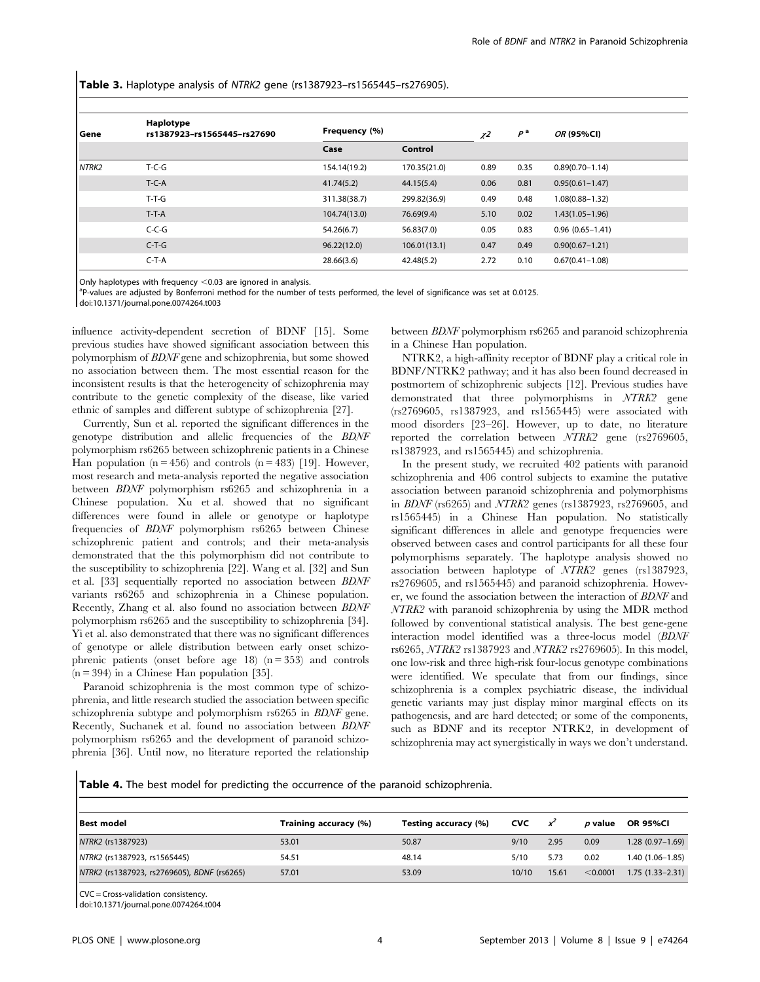Table 3. Haplotype analysis of NTRK2 gene (rs1387923-rs1565445-rs276905).

| l Gene | Haplotype<br>rs1387923-rs1565445-rs27690 | Frequency (%) |              | $\chi^2$ | $P^a$ | OR (95%CI)          |  |
|--------|------------------------------------------|---------------|--------------|----------|-------|---------------------|--|
|        |                                          | Case          | Control      |          |       |                     |  |
| NTRK2  | $T-C-G$                                  | 154.14(19.2)  | 170.35(21.0) | 0.89     | 0.35  | $0.89(0.70 - 1.14)$ |  |
|        | $T-C-A$                                  | 41.74(5.2)    | 44.15(5.4)   | 0.06     | 0.81  | $0.95(0.61 - 1.47)$ |  |
|        | $T-T-G$                                  | 311.38(38.7)  | 299.82(36.9) | 0.49     | 0.48  | $1.08(0.88 - 1.32)$ |  |
|        | $T-T-A$                                  | 104.74(13.0)  | 76.69(9.4)   | 5.10     | 0.02  | $1.43(1.05 - 1.96)$ |  |
|        | $C-C-G$                                  | 54.26(6.7)    | 56.83(7.0)   | 0.05     | 0.83  | $0.96(0.65 - 1.41)$ |  |
|        | $C-T-G$                                  | 96.22(12.0)   | 106.01(13.1) | 0.47     | 0.49  | $0.90(0.67 - 1.21)$ |  |
|        | $C-T-A$                                  | 28.66(3.6)    | 42.48(5.2)   | 2.72     | 0.10  | $0.67(0.41 - 1.08)$ |  |

Only haplotypes with frequency  $<$  0.03 are ignored in analysis.

<sup>a</sup>P-values are adjusted by Bonferroni method for the number of tests performed, the level of significance was set at 0.0125.

doi:10.1371/journal.pone.0074264.t003

influence activity-dependent secretion of BDNF [15]. Some previous studies have showed significant association between this polymorphism of BDNF gene and schizophrenia, but some showed no association between them. The most essential reason for the inconsistent results is that the heterogeneity of schizophrenia may contribute to the genetic complexity of the disease, like varied ethnic of samples and different subtype of schizophrenia [27].

Currently, Sun et al. reported the significant differences in the genotype distribution and allelic frequencies of the BDNF polymorphism rs6265 between schizophrenic patients in a Chinese Han population  $(n = 456)$  and controls  $(n = 483)$  [19]. However, most research and meta-analysis reported the negative association between BDNF polymorphism rs6265 and schizophrenia in a Chinese population. Xu et al. showed that no significant differences were found in allele or genotype or haplotype frequencies of BDNF polymorphism rs6265 between Chinese schizophrenic patient and controls; and their meta-analysis demonstrated that the this polymorphism did not contribute to the susceptibility to schizophrenia [22]. Wang et al. [32] and Sun et al. [33] sequentially reported no association between BDNF variants rs6265 and schizophrenia in a Chinese population. Recently, Zhang et al. also found no association between BDNF polymorphism rs6265 and the susceptibility to schizophrenia [34]. Yi et al. also demonstrated that there was no significant differences of genotype or allele distribution between early onset schizophrenic patients (onset before age  $18$ ) (n = 353) and controls  $(n = 394)$  in a Chinese Han population [35].

Paranoid schizophrenia is the most common type of schizophrenia, and little research studied the association between specific schizophrenia subtype and polymorphism rs6265 in BDNF gene. Recently, Suchanek et al. found no association between BDNF polymorphism rs6265 and the development of paranoid schizophrenia [36]. Until now, no literature reported the relationship between BDNF polymorphism rs6265 and paranoid schizophrenia in a Chinese Han population.

NTRK2, a high-affinity receptor of BDNF play a critical role in BDNF/NTRK2 pathway; and it has also been found decreased in postmortem of schizophrenic subjects [12]. Previous studies have demonstrated that three polymorphisms in NTRK2 gene (rs2769605, rs1387923, and rs1565445) were associated with mood disorders [23–26]. However, up to date, no literature reported the correlation between NTRK2 gene (rs2769605, rs1387923, and rs1565445) and schizophrenia.

In the present study, we recruited 402 patients with paranoid schizophrenia and 406 control subjects to examine the putative association between paranoid schizophrenia and polymorphisms in BDNF (rs6265) and NTRK2 genes (rs1387923, rs2769605, and rs1565445) in a Chinese Han population. No statistically significant differences in allele and genotype frequencies were observed between cases and control participants for all these four polymorphisms separately. The haplotype analysis showed no association between haplotype of NTRK2 genes (rs1387923, rs2769605, and rs1565445) and paranoid schizophrenia. However, we found the association between the interaction of BDNF and NTRK2 with paranoid schizophrenia by using the MDR method followed by conventional statistical analysis. The best gene-gene interaction model identified was a three-locus model (BDNF rs6265, NTRK2 rs1387923 and NTRK2 rs2769605). In this model, one low-risk and three high-risk four-locus genotype combinations were identified. We speculate that from our findings, since schizophrenia is a complex psychiatric disease, the individual genetic variants may just display minor marginal effects on its pathogenesis, and are hard detected; or some of the components, such as BDNF and its receptor NTRK2, in development of schizophrenia may act synergistically in ways we don't understand.

Table 4. The best model for predicting the occurrence of the paranoid schizophrenia.

| <b>Best model</b>                           | Training accuracy (%) | Testing accuracy (%) | <b>CVC</b> | x     | <i>p</i> value | <b>OR 95%CI</b>     |
|---------------------------------------------|-----------------------|----------------------|------------|-------|----------------|---------------------|
| NTRK2 (rs1387923)                           | 53.01                 | 50.87                | 9/10       | 2.95  | 0.09           | $1.28(0.97-1.69)$   |
| NTRK2 (rs1387923, rs1565445)                | 54.51                 | 48.14                | 5/10       | 5.73  | 0.02           | 1.40 (1.06–1.85)    |
| NTRK2 (rs1387923, rs2769605), BDNF (rs6265) | 57.01                 | 53.09                | 10/10      | 15.61 | < 0.0001       | $1.75(1.33 - 2.31)$ |

CVC = Cross-validation consistency.

doi:10.1371/journal.pone.0074264.t004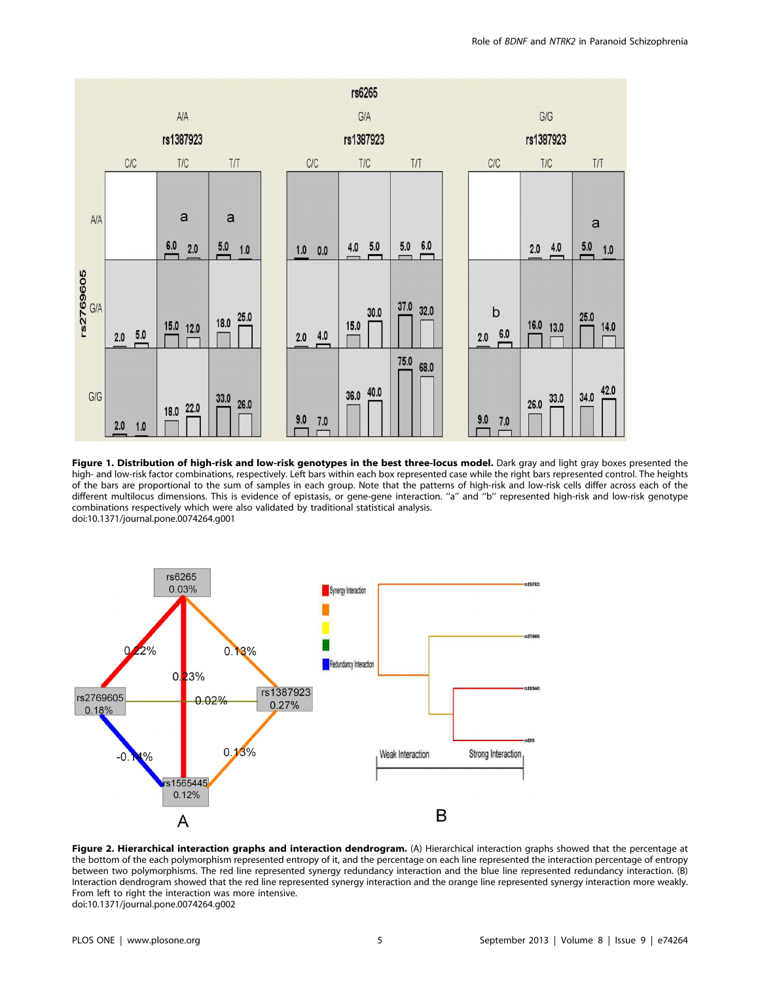

Figure 1. Distribution of high-risk and low-risk genotypes in the best three-locus model. Dark gray and light gray boxes presented the high- and low-risk factor combinations, respectively. Left bars within each box represented case while the right bars represented control. The heights of the bars are proportional to the sum of samples in each group. Note that the patterns of high-risk and low-risk cells differ across each of the different multilocus dimensions. This is evidence of epistasis, or gene-gene interaction. ''a'' and ''b'' represented high-risk and low-risk genotype combinations respectively which were also validated by traditional statistical analysis. doi:10.1371/journal.pone.0074264.g001



Figure 2. Hierarchical interaction graphs and interaction dendrogram. (A) Hierarchical interaction graphs showed that the percentage at the bottom of the each polymorphism represented entropy of it, and the percentage on each line represented the interaction percentage of entropy between two polymorphisms. The red line represented synergy redundancy interaction and the blue line represented redundancy interaction. (B) Interaction dendrogram showed that the red line represented synergy interaction and the orange line represented synergy interaction more weakly. From left to right the interaction was more intensive. doi:10.1371/journal.pone.0074264.g002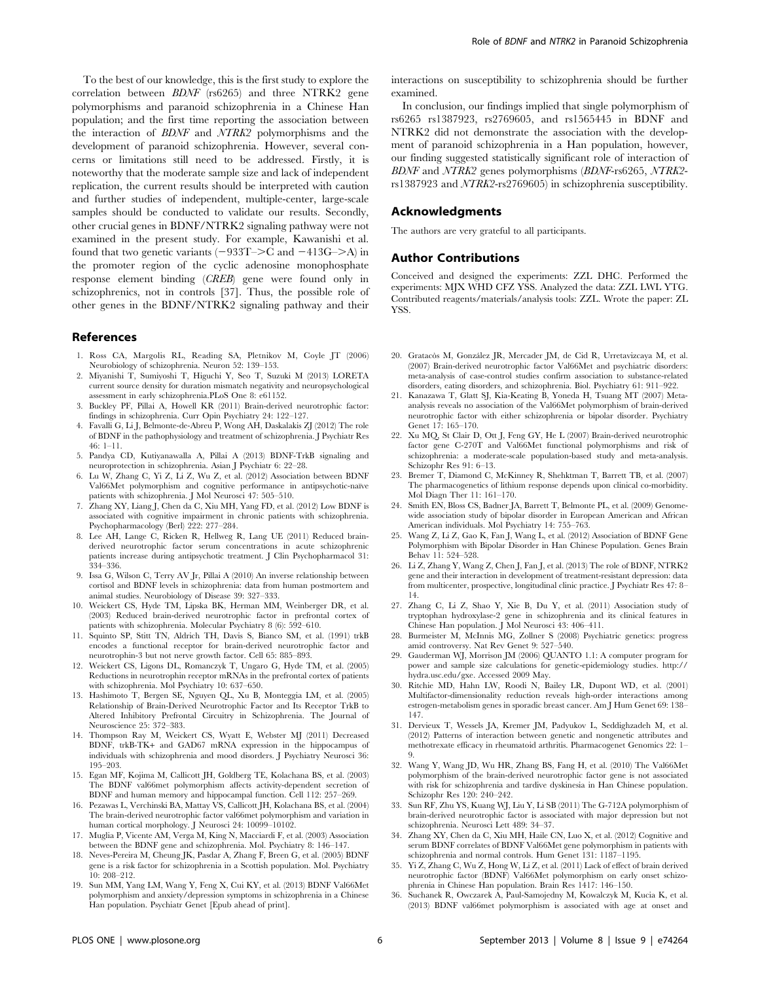To the best of our knowledge, this is the first study to explore the correlation between BDNF (rs6265) and three NTRK2 gene polymorphisms and paranoid schizophrenia in a Chinese Han population; and the first time reporting the association between the interaction of BDNF and NTRK2 polymorphisms and the development of paranoid schizophrenia. However, several concerns or limitations still need to be addressed. Firstly, it is noteworthy that the moderate sample size and lack of independent replication, the current results should be interpreted with caution and further studies of independent, multiple-center, large-scale samples should be conducted to validate our results. Secondly, other crucial genes in BDNF/NTRK2 signaling pathway were not examined in the present study. For example, Kawanishi et al. found that two genetic variants  $(-933T->C$  and  $-413G->A)$  in the promoter region of the cyclic adenosine monophosphate response element binding (CREB) gene were found only in schizophrenics, not in controls [37]. Thus, the possible role of other genes in the BDNF/NTRK2 signaling pathway and their

#### References

- 1. Ross CA, Margolis RL, Reading SA, Pletnikov M, Coyle JT (2006) Neurobiology of schizophrenia. Neuron 52: 139–153.
- 2. Miyanishi T, Sumiyoshi T, Higuchi Y, Seo T, Suzuki M (2013) LORETA current source density for duration mismatch negativity and neuropsychological assessment in early schizophrenia.PLoS One 8: e61152.
- 3. Buckley PF, Pillai A, Howell KR (2011) Brain-derived neurotrophic factor: findings in schizophrenia. Curr Opin Psychiatry 24: 122–127.
- 4. Favalli G, Li J, Belmonte-de-Abreu P, Wong AH, Daskalakis ZJ (2012) The role of BDNF in the pathophysiology and treatment of schizophrenia. J Psychiatr Res 46: 1–11.
- 5. Pandya CD, Kutiyanawalla A, Pillai A (2013) BDNF-TrkB signaling and neuroprotection in schizophrenia. Asian J Psychiatr 6: 22–28.
- 6. Lu W, Zhang C, Yi Z, Li Z, Wu Z, et al. (2012) Association between BDNF Val66Met polymorphism and cognitive performance in antipsychotic-naïve patients with schizophrenia. J Mol Neurosci 47: 505–510.
- 7. Zhang XY, Liang J, Chen da C, Xiu MH, Yang FD, et al. (2012) Low BDNF is associated with cognitive impairment in chronic patients with schizophrenia. Psychopharmacology (Berl) 222: 277–284.
- 8. Lee AH, Lange C, Ricken R, Hellweg R, Lang UE (2011) Reduced brainderived neurotrophic factor serum concentrations in acute schizophrenic patients increase during antipsychotic treatment. J Clin Psychopharmacol 31: 334–336.
- 9. Issa G, Wilson C, Terry AV Jr, Pillai A (2010) An inverse relationship between cortisol and BDNF levels in schizophrenia: data from human postmortem and animal studies. Neurobiology of Disease 39: 327–333.
- 10. Weickert CS, Hyde TM, Lipska BK, Herman MM, Weinberger DR, et al. (2003) Reduced brain-derived neurotrophic factor in prefrontal cortex of patients with schizophrenia. Molecular Psychiatry 8 (6): 592–610.
- 11. Squinto SP, Stitt TN, Aldrich TH, Davis S, Bianco SM, et al. (1991) trkB encodes a functional receptor for brain-derived neurotrophic factor and neurotrophin-3 but not nerve growth factor. Cell 65: 885–893.
- 12. Weickert CS, Ligons DL, Romanczyk T, Ungaro G, Hyde TM, et al. (2005) Reductions in neurotrophin receptor mRNAs in the prefrontal cortex of patients with schizophrenia. Mol Psychiatry 10: 637–650.
- 13. Hashimoto T, Bergen SE, Nguyen QL, Xu B, Monteggia LM, et al. (2005) Relationship of Brain-Derived Neurotrophic Factor and Its Receptor TrkB to Altered Inhibitory Prefrontal Circuitry in Schizophrenia. The Journal of Neuroscience 25: 372–383.
- 14. Thompson Ray M, Weickert CS, Wyatt E, Webster MJ (2011) Decreased BDNF, trkB-TK*+* and GAD67 mRNA expression in the hippocampus of individuals with schizophrenia and mood disorders. J Psychiatry Neurosci 36: 195–203.
- 15. Egan MF, Kojima M, Callicott JH, Goldberg TE, Kolachana BS, et al. (2003) The BDNF val66met polymorphism affects activity-dependent secretion of BDNF and human memory and hippocampal function. Cell 112: 257–269.
- 16. Pezawas L, Verchinski BA, Mattay VS, Callicott JH, Kolachana BS, et al. (2004) The brain-derived neurotrophic factor val66met polymorphism and variation in human cortical morphology. J Neurosci 24: 10099–10102.
- 17. Muglia P, Vicente AM, Verga M, King N, Macciardi F, et al. (2003) Association between the BDNF gene and schizophrenia. Mol. Psychiatry 8: 146–147.
- 18. Neves-Pereira M, Cheung JK, Pasdar A, Zhang F, Breen G, et al. (2005) BDNF gene is a risk factor for schizophrenia in a Scottish population. Mol. Psychiatry 10: 208–212.
- 19. Sun MM, Yang LM, Wang Y, Feng X, Cui KY, et al. (2013) BDNF Val66Met polymorphism and anxiety/depression symptoms in schizophrenia in a Chinese Han population. Psychiatr Genet [Epub ahead of print].

interactions on susceptibility to schizophrenia should be further examined.

In conclusion, our findings implied that single polymorphism of rs6265 rs1387923, rs2769605, and rs1565445 in BDNF and NTRK2 did not demonstrate the association with the development of paranoid schizophrenia in a Han population, however, our finding suggested statistically significant role of interaction of BDNF and NTRK2 genes polymorphisms (BDNF-rs6265, NTRK2 rs1387923 and NTRK2-rs2769605) in schizophrenia susceptibility.

#### Acknowledgments

The authors are very grateful to all participants.

## Author Contributions

Conceived and designed the experiments: ZZL DHC. Performed the experiments: MJX WHD CFZ YSS. Analyzed the data: ZZL LWL YTG. Contributed reagents/materials/analysis tools: ZZL. Wrote the paper: ZL **YSS** 

- 20. Gratacòs M, González JR, Mercader JM, de Cid R, Urretavizcaya M, et al. (2007) Brain-derived neurotrophic factor Val66Met and psychiatric disorders: meta-analysis of case-control studies confirm association to substance-related disorders, eating disorders, and schizophrenia. Biol. Psychiatry 61: 911–922.
- 21. Kanazawa T, Glatt SJ, Kia-Keating B, Yoneda H, Tsuang MT (2007) Metaanalysis reveals no association of the Val66Met polymorphism of brain-derived neurotrophic factor with either schizophrenia or bipolar disorder. Psychiatry Genet 17: 165–170.
- 22. Xu MQ, St Clair D, Ott J, Feng GY, He L (2007) Brain-derived neurotrophic factor gene C-270T and Val66Met functional polymorphisms and risk of schizophrenia: a moderate-scale population-based study and meta-analysis. Schizophr Res 91: 6–13.
- 23. Bremer T, Diamond C, McKinney R, Shehktman T, Barrett TB, et al. (2007) The pharmacogenetics of lithium response depends upon clinical co-morbidity. Mol Diagn Ther 11: 161–170.
- 24. Smith EN, Bloss CS, Badner JA, Barrett T, Belmonte PL, et al. (2009) Genomewide association study of bipolar disorder in European American and African American individuals. Mol Psychiatry 14: 755–763.
- 25. Wang Z, Li Z, Gao K, Fan J, Wang L, et al. (2012) Association of BDNF Gene Polymorphism with Bipolar Disorder in Han Chinese Population. Genes Brain Behav 11: 524–528.
- 26. Li Z, Zhang Y, Wang Z, Chen J, Fan J, et al. (2013) The role of BDNF, NTRK2 gene and their interaction in development of treatment-resistant depression: data from multicenter, prospective, longitudinal clinic practice. J Psychiatr Res 47: 8– 14.
- 27. Zhang C, Li Z, Shao Y, Xie B, Du Y, et al. (2011) Association study of tryptophan hydroxylase-2 gene in schizophrenia and its clinical features in Chinese Han population. J Mol Neurosci 43: 406–411.
- 28. Burmeister M, McInnis MG, Zollner S (2008) Psychiatric genetics: progress amid controversy. Nat Rev Genet 9: 527–540.
- 29. Gauderman WJ, Morrison JM (2006) QUANTO 1.1: A computer program for power and sample size calculations for genetic-epidemiology studies. http:// hydra.usc.edu/gxe. Accessed 2009 May.
- 30. Ritchie MD, Hahn LW, Roodi N, Bailey LR, Dupont WD, et al. (2001) Multifactor-dimensionality reduction reveals high-order interactions among estrogen-metabolism genes in sporadic breast cancer. Am J Hum Genet 69: 138– 147.
- 31. Dervieux T, Wessels JA, Kremer JM, Padyukov L, Seddighzadeh M, et al. (2012) Patterns of interaction between genetic and nongenetic attributes and methotrexate efficacy in rheumatoid arthritis. Pharmacogenet Genomics 22: 1– 9.
- 32. Wang Y, Wang JD, Wu HR, Zhang BS, Fang H, et al. (2010) The Val66Met polymorphism of the brain-derived neurotrophic factor gene is not associated with risk for schizophrenia and tardive dyskinesia in Han Chinese population. Schizophr Res 120: 240–242.
- 33. Sun RF, Zhu YS, Kuang WJ, Liu Y, Li SB (2011) The G-712A polymorphism of brain-derived neurotrophic factor is associated with major depression but not schizophrenia. Neurosci Lett 489: 34–37.
- 34. Zhang XY, Chen da C, Xiu MH, Haile CN, Luo X, et al. (2012) Cognitive and serum BDNF correlates of BDNF Val66Met gene polymorphism in patients with schizophrenia and normal controls. Hum Genet 131: 1187–1195.
- 35. Yi Z, Zhang C, Wu Z, Hong W, Li Z, et al. (2011) Lack of effect of brain derived neurotrophic factor (BDNF) Val66Met polymorphism on early onset schizophrenia in Chinese Han population. Brain Res 1417: 146–150.
- 36. Suchanek R, Owczarek A, Paul-Samojedny M, Kowalczyk M, Kucia K, et al. (2013) BDNF val66met polymorphism is associated with age at onset and